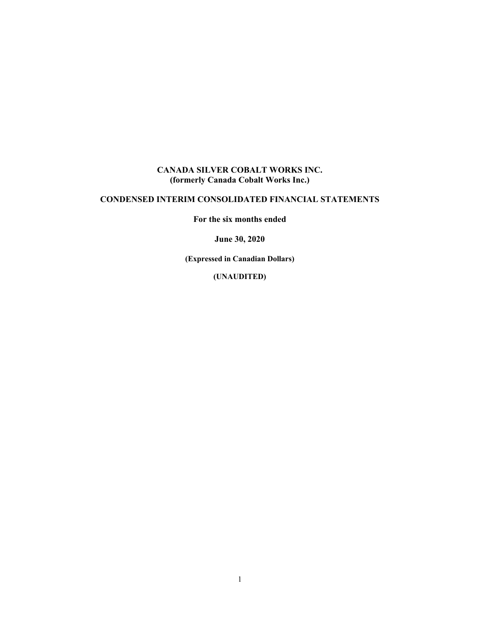## **CANADA SILVER COBALT WORKS INC. (formerly Canada Cobalt Works Inc.)**

# **CONDENSED INTERIM CONSOLIDATED FINANCIAL STATEMENTS**

**For the six months ended** 

**June 30, 2020** 

**(Expressed in Canadian Dollars)** 

**(UNAUDITED)**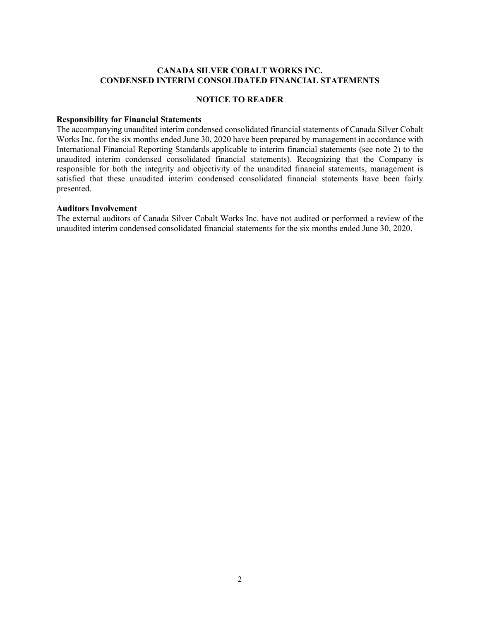#### **CANADA SILVER COBALT WORKS INC. CONDENSED INTERIM CONSOLIDATED FINANCIAL STATEMENTS**

#### **NOTICE TO READER**

#### **Responsibility for Financial Statements**

The accompanying unaudited interim condensed consolidated financial statements of Canada Silver Cobalt Works Inc. for the six months ended June 30, 2020 have been prepared by management in accordance with International Financial Reporting Standards applicable to interim financial statements (see note 2) to the unaudited interim condensed consolidated financial statements). Recognizing that the Company is responsible for both the integrity and objectivity of the unaudited financial statements, management is satisfied that these unaudited interim condensed consolidated financial statements have been fairly presented.

#### **Auditors Involvement**

The external auditors of Canada Silver Cobalt Works Inc. have not audited or performed a review of the unaudited interim condensed consolidated financial statements for the six months ended June 30, 2020.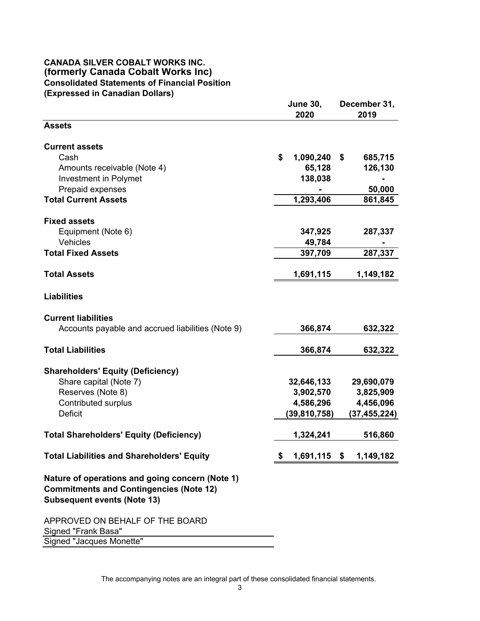### **CANADA SILVER COBALT WORKS INC. (formerly Canada Cobalt Works Inc) Consolidated Statements of Financial Position (Expressed in Canadian Dollars)**

|                                                                                                                                         | <b>June 30,</b>    | December 31,  |
|-----------------------------------------------------------------------------------------------------------------------------------------|--------------------|---------------|
| <b>Assets</b>                                                                                                                           | 2020               | 2019          |
|                                                                                                                                         |                    |               |
| <b>Current assets</b>                                                                                                                   |                    |               |
| Cash                                                                                                                                    | \$<br>1,090,240    | \$<br>685,715 |
| Amounts receivable (Note 4)                                                                                                             | 65,128             | 126,130       |
| <b>Investment in Polymet</b>                                                                                                            | 138,038            |               |
| Prepaid expenses                                                                                                                        |                    | 50,000        |
| <b>Total Current Assets</b>                                                                                                             | 1,293,406          | 861,845       |
| <b>Fixed assets</b>                                                                                                                     |                    |               |
| Equipment (Note 6)                                                                                                                      | 347,925            | 287,337       |
| Vehicles                                                                                                                                | 49,784             |               |
| <b>Total Fixed Assets</b>                                                                                                               | 397,709            | 287,337       |
|                                                                                                                                         |                    |               |
| <b>Total Assets</b>                                                                                                                     | 1,691,115          | 1,149,182     |
| <b>Liabilities</b>                                                                                                                      |                    |               |
| <b>Current liabilities</b>                                                                                                              |                    |               |
| Accounts payable and accrued liabilities (Note 9)                                                                                       | 366,874            | 632,322       |
|                                                                                                                                         |                    |               |
| <b>Total Liabilities</b>                                                                                                                | 366,874            | 632,322       |
| <b>Shareholders' Equity (Deficiency)</b>                                                                                                |                    |               |
| Share capital (Note 7)                                                                                                                  | 32,646,133         | 29,690,079    |
| Reserves (Note 8)                                                                                                                       | 3,902,570          | 3,825,909     |
| <b>Contributed surplus</b>                                                                                                              | 4,586,296          | 4,456,096     |
| <b>Deficit</b>                                                                                                                          | (39, 810, 758)     | (37,455,224)  |
| <b>Total Shareholders' Equity (Deficiency)</b>                                                                                          | 1,324,241          | 516,860       |
|                                                                                                                                         |                    |               |
| <b>Total Liabilities and Shareholders' Equity</b>                                                                                       | \$<br>1,691,115 \$ | 1,149,182     |
| Nature of operations and going concern (Note 1)<br><b>Commitments and Contingencies (Note 12)</b><br><b>Subsequent events (Note 13)</b> |                    |               |
| APPROVED ON BEHALF OF THE BOARD<br>Signed "Frank Basa"                                                                                  |                    |               |
| Signed "Jacques Monette"                                                                                                                |                    |               |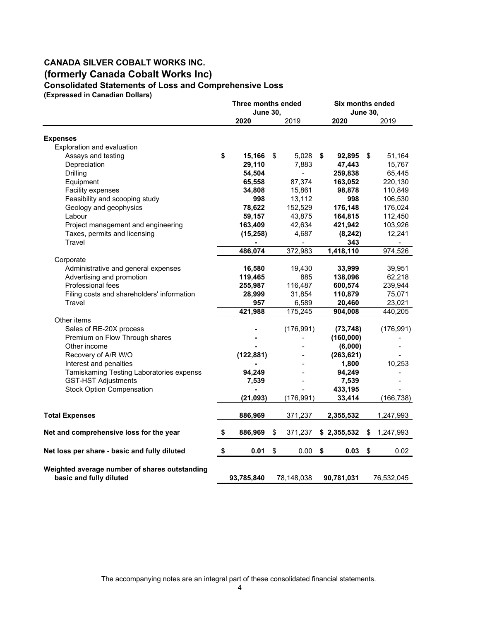# **CANADA SILVER COBALT WORKS INC. (formerly Canada Cobalt Works Inc) Consolidated Statements of Loss and Comprehensive Loss**

**(Expressed in Canadian Dollars)**

|                                                                          | Three months ended |                              |    | Six months ended |    |                 |    |            |
|--------------------------------------------------------------------------|--------------------|------------------------------|----|------------------|----|-----------------|----|------------|
|                                                                          |                    | <b>June 30,</b>              |    |                  |    | <b>June 30,</b> |    |            |
|                                                                          |                    | 2020                         |    | 2019             |    | 2020            |    | 2019       |
| <b>Expenses</b>                                                          |                    |                              |    |                  |    |                 |    |            |
| Exploration and evaluation                                               |                    |                              |    |                  |    |                 |    |            |
| Assays and testing                                                       | \$                 | 15,166                       | \$ | 5,028            | \$ | 92,895          | \$ | 51,164     |
| Depreciation                                                             |                    | 29,110                       |    | 7.883            |    | 47,443          |    | 15,767     |
| Drilling                                                                 |                    | 54,504                       |    | $\overline{a}$   |    | 259,838         |    | 65,445     |
| Equipment                                                                |                    | 65,558                       |    | 87,374           |    | 163,052         |    | 220,130    |
| Facility expenses                                                        |                    | 34,808                       |    | 15,861           |    | 98,878          |    | 110,849    |
| Feasibility and scooping study                                           |                    | 998                          |    | 13,112           |    | 998             |    | 106,530    |
| Geology and geophysics                                                   |                    | 78,622                       |    | 152,529          |    | 176,148         |    | 176,024    |
| Labour                                                                   |                    | 59,157                       |    | 43,875           |    | 164,815         |    | 112,450    |
| Project management and engineering                                       |                    | 163,409                      |    | 42,634           |    | 421,942         |    | 103,926    |
| Taxes, permits and licensing                                             |                    | (15, 258)                    |    | 4,687            |    | (8, 242)        |    | 12,241     |
| Travel                                                                   |                    |                              |    |                  |    | 343             |    |            |
|                                                                          |                    | 486,074                      |    | 372,983          |    | 1,418,110       |    | 974,526    |
| Corporate                                                                |                    |                              |    |                  |    |                 |    |            |
| Administrative and general expenses                                      |                    | 16,580                       |    | 19,430           |    | 33,999          |    | 39,951     |
| Advertising and promotion                                                |                    | 119,465                      |    | 885              |    | 138,096         |    | 62,218     |
| <b>Professional fees</b>                                                 |                    | 255,987                      |    | 116,487          |    | 600,574         |    | 239,944    |
| Filing costs and shareholders' information                               |                    | 28,999                       |    | 31,854           |    | 110,879         |    | 75,071     |
| Travel                                                                   |                    | 957                          |    | 6,589            |    | 20,460          |    | 23,021     |
|                                                                          |                    | 421,988                      |    | 175,245          |    | 904,008         |    | 440,205    |
| Other items                                                              |                    |                              |    |                  |    |                 |    |            |
| Sales of RE-20X process                                                  |                    |                              |    | (176, 991)       |    | (73, 748)       |    | (176, 991) |
| Premium on Flow Through shares                                           |                    |                              |    |                  |    | (160,000)       |    |            |
| Other income                                                             |                    |                              |    |                  |    | (6,000)         |    |            |
| Recovery of A/R W/O                                                      |                    | (122, 881)                   |    |                  |    | (263, 621)      |    |            |
| Interest and penalties                                                   |                    |                              |    |                  |    | 1,800           |    | 10,253     |
| Tamiskaming Testing Laboratories expenss                                 |                    | 94,249                       |    |                  |    | 94,249          |    |            |
| <b>GST-HST Adjustments</b>                                               |                    | 7,539                        |    |                  |    | 7,539           |    |            |
| <b>Stock Option Compensation</b>                                         |                    | $\qquad \qquad \blacksquare$ |    |                  |    | 433,195         |    |            |
|                                                                          |                    | (21, 093)                    |    | (176, 991)       |    | 33,414          |    | (166, 738) |
| <b>Total Expenses</b>                                                    |                    | 886,969                      |    | 371,237          |    | 2,355,532       |    | 1,247,993  |
|                                                                          |                    |                              |    |                  |    |                 |    |            |
| Net and comprehensive loss for the year                                  |                    | 886,969                      | S  | 371,237          |    | \$2,355,532     | S  | 1,247,993  |
| Net loss per share - basic and fully diluted                             | \$                 | 0.01                         | \$ | 0.00             | \$ | 0.03            | \$ | 0.02       |
| Weighted average number of shares outstanding<br>basic and fully diluted |                    | 93,785,840                   |    | 78,148,038       |    | 90,781,031      |    | 76,532,045 |
|                                                                          |                    |                              |    |                  |    |                 |    |            |

The accompanying notes are an integral part of these consolidated financial statements.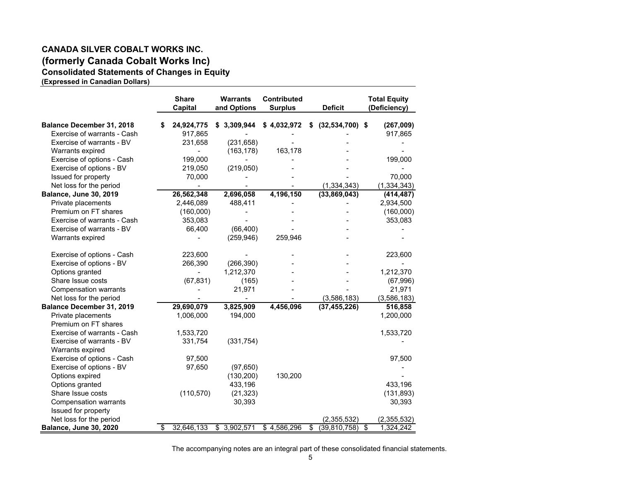# **CANADA SILVER COBALT WORKS INC. (formerly Canada Cobalt Works Inc) Consolidated Statements of Changes in Equity**

**(Expressed in Canadian Dollars)** 

|                                  | <b>Share</b><br>Capital | <b>Warrants</b><br>and Options | Contributed<br><b>Surplus</b> |    | <b>Deficit</b>    |                                  | <b>Total Equity</b><br>(Deficiency) |
|----------------------------------|-------------------------|--------------------------------|-------------------------------|----|-------------------|----------------------------------|-------------------------------------|
| <b>Balance December 31, 2018</b> | \$<br>24,924,775        | \$3,309,944                    | \$4,032,972                   | S  | $(32,534,700)$ \$ |                                  | (267,009)                           |
| Exercise of warrants - Cash      | 917,865                 |                                |                               |    |                   |                                  | 917,865                             |
| Exercise of warrants - BV        | 231,658                 | (231, 658)                     |                               |    |                   |                                  |                                     |
| Warrants expired                 |                         | (163, 178)                     | 163,178                       |    |                   |                                  |                                     |
| Exercise of options - Cash       | 199,000                 |                                |                               |    |                   |                                  | 199,000                             |
| Exercise of options - BV         | 219,050                 | (219,050)                      |                               |    |                   |                                  |                                     |
| Issued for property              | 70,000                  |                                |                               |    |                   |                                  | 70,000                              |
| Net loss for the period          |                         |                                |                               |    | (1, 334, 343)     |                                  | (1, 334, 343)                       |
| <b>Balance, June 30, 2019</b>    | 26,562,348              | 2,696,058                      | 4,196,150                     |    | (33,869,043)      |                                  | (414, 487)                          |
| Private placements               | 2,446,089               | 488,411                        |                               |    |                   |                                  | 2,934,500                           |
| Premium on FT shares             | (160,000)               |                                |                               |    |                   |                                  | (160,000)                           |
| Exercise of warrants - Cash      | 353,083                 |                                |                               |    |                   |                                  | 353,083                             |
| Exercise of warrants - BV        | 66,400                  | (66, 400)                      |                               |    |                   |                                  |                                     |
| Warrants expired                 |                         | (259, 946)                     | 259,946                       |    |                   |                                  |                                     |
| Exercise of options - Cash       | 223,600                 |                                |                               |    |                   |                                  | 223,600                             |
| Exercise of options - BV         | 266,390                 | (266, 390)                     |                               |    |                   |                                  |                                     |
| Options granted                  |                         | 1,212,370                      |                               |    |                   |                                  | 1,212,370                           |
| Share Issue costs                | (67, 831)               | (165)                          |                               |    |                   |                                  | (67, 996)                           |
| <b>Compensation warrants</b>     |                         | 21,971                         |                               |    |                   |                                  | 21,971                              |
| Net loss for the period          |                         |                                |                               |    | (3,586,183)       |                                  | (3,586,183)                         |
| Balance December 31, 2019        | 29,690,079              | 3,825,909                      | 4,456,096                     |    | (37, 455, 226)    |                                  | 516,858                             |
| Private placements               | 1,006,000               | 194,000                        |                               |    |                   |                                  | 1,200,000                           |
| Premium on FT shares             |                         |                                |                               |    |                   |                                  |                                     |
| Exercise of warrants - Cash      | 1,533,720               |                                |                               |    |                   |                                  | 1,533,720                           |
| Exercise of warrants - BV        | 331,754                 | (331, 754)                     |                               |    |                   |                                  |                                     |
| Warrants expired                 |                         |                                |                               |    |                   |                                  |                                     |
| Exercise of options - Cash       | 97,500                  |                                |                               |    |                   |                                  | 97,500                              |
| Exercise of options - BV         | 97,650                  | (97, 650)                      |                               |    |                   |                                  |                                     |
| Options expired                  |                         | (130, 200)                     | 130,200                       |    |                   |                                  |                                     |
| Options granted                  |                         | 433,196                        |                               |    |                   |                                  | 433,196                             |
| Share Issue costs                | (110, 570)              | (21, 323)                      |                               |    |                   |                                  | (131, 893)                          |
| <b>Compensation warrants</b>     |                         | 30,393                         |                               |    |                   |                                  | 30,393                              |
| Issued for property              |                         |                                |                               |    |                   |                                  |                                     |
| Net loss for the period          |                         |                                |                               |    | (2,355,532)       |                                  | (2,355,532)                         |
| Balance, June 30, 2020           | \$<br>32,646,133        | \$3,902,571                    | \$4,586,296                   | \$ | (39, 810, 758)    | $\overline{\boldsymbol{\theta}}$ | 1,324,242                           |

The accompanying notes are an integral part of these consolidated financial statements.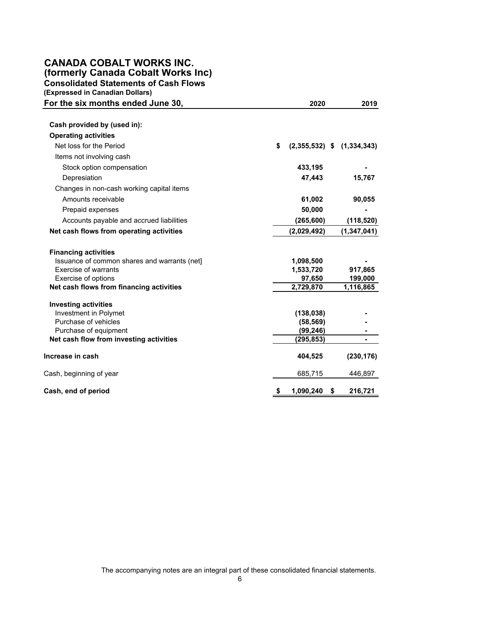## **CANADA COBALT WORKS INC. (formerly Canada Cobalt Works Inc) Consolidated Statements of Cash Flows**

**(Expressed in Canadian Dollars)** 

| For the six months ended June 30,            | 2020                                 | 2019          |
|----------------------------------------------|--------------------------------------|---------------|
| Cash provided by (used in):                  |                                      |               |
| <b>Operating activities</b>                  |                                      |               |
| Net loss for the Period                      | \$<br>$(2,355,532)$ \$ $(1,334,343)$ |               |
| Items not involving cash                     |                                      |               |
| Stock option compensation                    | 433,195                              |               |
| Depresiation                                 | 47,443                               | 15,767        |
| Changes in non-cash working capital items    |                                      |               |
| Amounts receivable                           | 61,002                               | 90,055        |
| Prepaid expenses                             | 50,000                               |               |
| Accounts payable and accrued liabilities     | (265, 600)                           | (118, 520)    |
| Net cash flows from operating activities     | (2,029,492)                          | (1, 347, 041) |
| <b>Financing activities</b>                  |                                      |               |
| Issuance of common shares and warrants (net] | 1,098,500                            |               |
| Exercise of warrants                         | 1,533,720                            | 917,865       |
| Exercise of options                          | 97,650                               | 199,000       |
| Net cash flows from financing activities     | 2,729,870                            | 1,116,865     |
| <b>Investing activities</b>                  |                                      |               |
| Investment in Polymet                        | (138, 038)                           |               |
| Purchase of vehicles                         | (58, 569)                            |               |
| Purchase of equipment                        | (99, 246)                            |               |
| Net cash flow from investing activities      | (295, 853)                           |               |
| Increase in cash                             | 404,525                              | (230, 176)    |
| Cash, beginning of year                      | 685,715                              | 446,897       |
| Cash, end of period                          | 1,090,240<br>\$                      | 216,721       |

The accompanying notes are an integral part of these consolidated financial statements.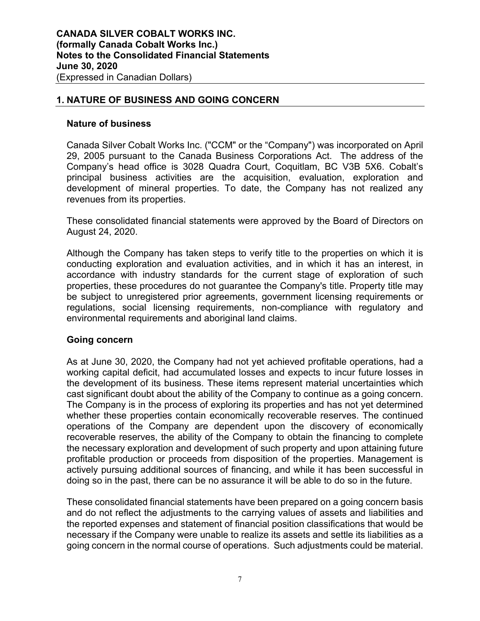# **1. NATURE OF BUSINESS AND GOING CONCERN**

## **Nature of business**

Canada Silver Cobalt Works Inc. ("CCM" or the "Company") was incorporated on April 29, 2005 pursuant to the Canada Business Corporations Act. The address of the Company's head office is 3028 Quadra Court, Coquitlam, BC V3B 5X6. Cobalt's principal business activities are the acquisition, evaluation, exploration and development of mineral properties. To date, the Company has not realized any revenues from its properties.

These consolidated financial statements were approved by the Board of Directors on August 24, 2020.

Although the Company has taken steps to verify title to the properties on which it is conducting exploration and evaluation activities, and in which it has an interest, in accordance with industry standards for the current stage of exploration of such properties, these procedures do not guarantee the Company's title. Property title may be subject to unregistered prior agreements, government licensing requirements or regulations, social licensing requirements, non-compliance with regulatory and environmental requirements and aboriginal land claims.

# **Going concern**

As at June 30, 2020, the Company had not yet achieved profitable operations, had a working capital deficit, had accumulated losses and expects to incur future losses in the development of its business. These items represent material uncertainties which cast significant doubt about the ability of the Company to continue as a going concern. The Company is in the process of exploring its properties and has not yet determined whether these properties contain economically recoverable reserves. The continued operations of the Company are dependent upon the discovery of economically recoverable reserves, the ability of the Company to obtain the financing to complete the necessary exploration and development of such property and upon attaining future profitable production or proceeds from disposition of the properties. Management is actively pursuing additional sources of financing, and while it has been successful in doing so in the past, there can be no assurance it will be able to do so in the future.

These consolidated financial statements have been prepared on a going concern basis and do not reflect the adjustments to the carrying values of assets and liabilities and the reported expenses and statement of financial position classifications that would be necessary if the Company were unable to realize its assets and settle its liabilities as a going concern in the normal course of operations. Such adjustments could be material.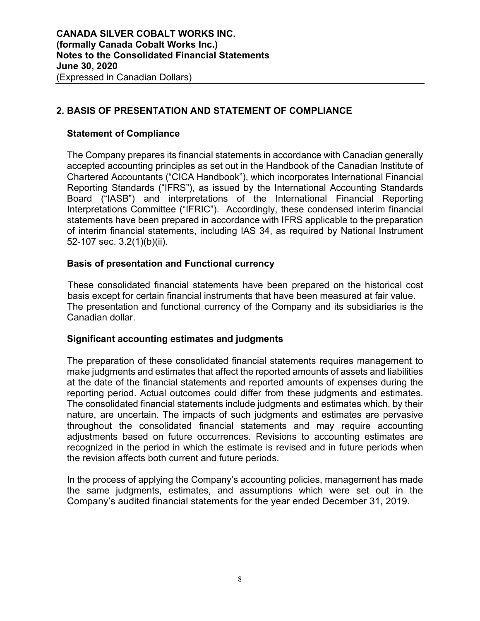# **2. BASIS OF PRESENTATION AND STATEMENT OF COMPLIANCE**

## **Statement of Compliance**

The Company prepares its financial statements in accordance with Canadian generally accepted accounting principles as set out in the Handbook of the Canadian Institute of Chartered Accountants ("CICA Handbook"), which incorporates International Financial Reporting Standards ("IFRS"), as issued by the International Accounting Standards Board ("IASB") and interpretations of the International Financial Reporting Interpretations Committee ("IFRIC"). Accordingly, these condensed interim financial statements have been prepared in accordance with IFRS applicable to the preparation of interim financial statements, including IAS 34, as required by National Instrument 52-107 sec. 3.2(1)(b)(ii).

# **Basis of presentation and Functional currency**

These consolidated financial statements have been prepared on the historical cost basis except for certain financial instruments that have been measured at fair value. The presentation and functional currency of the Company and its subsidiaries is the Canadian dollar.

# **Significant accounting estimates and judgments**

The preparation of these consolidated financial statements requires management to make judgments and estimates that affect the reported amounts of assets and liabilities at the date of the financial statements and reported amounts of expenses during the reporting period. Actual outcomes could differ from these judgments and estimates. The consolidated financial statements include judgments and estimates which, by their nature, are uncertain. The impacts of such judgments and estimates are pervasive throughout the consolidated financial statements and may require accounting adjustments based on future occurrences. Revisions to accounting estimates are recognized in the period in which the estimate is revised and in future periods when the revision affects both current and future periods.

In the process of applying the Company's accounting policies, management has made the same judgments, estimates, and assumptions which were set out in the Company's audited financial statements for the year ended December 31, 2019.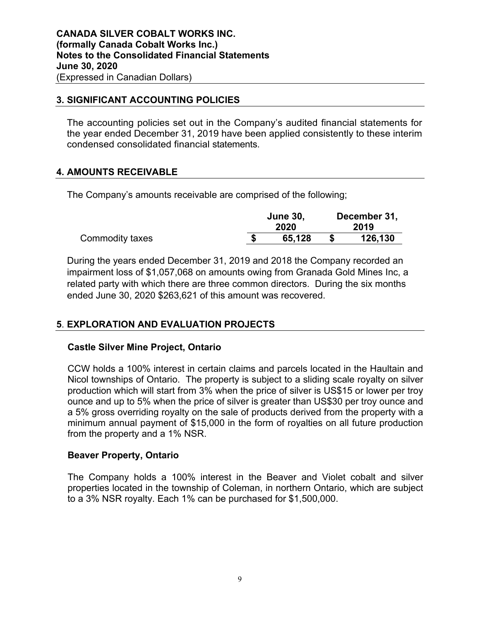# **3. SIGNIFICANT ACCOUNTING POLICIES**

The accounting policies set out in the Company's audited financial statements for the year ended December 31, 2019 have been applied consistently to these interim condensed consolidated financial statements.

# **4. AMOUNTS RECEIVABLE**

The Company's amounts receivable are comprised of the following;

|                 | <b>June 30,</b> |  | December 31, |  |
|-----------------|-----------------|--|--------------|--|
|                 | 2020            |  | 2019         |  |
| Commodity taxes | 65.128          |  | 126,130      |  |

During the years ended December 31, 2019 and 2018 the Company recorded an impairment loss of \$1,057,068 on amounts owing from Granada Gold Mines Inc, a related party with which there are three common directors. During the six months ended June 30, 2020 \$263,621 of this amount was recovered.

# **5**. **EXPLORATION AND EVALUATION PROJECTS**

# **Castle Silver Mine Project, Ontario**

CCW holds a 100% interest in certain claims and parcels located in the Haultain and Nicol townships of Ontario. The property is subject to a sliding scale royalty on silver production which will start from 3% when the price of silver is US\$15 or lower per troy ounce and up to 5% when the price of silver is greater than US\$30 per troy ounce and a 5% gross overriding royalty on the sale of products derived from the property with a minimum annual payment of \$15,000 in the form of royalties on all future production from the property and a 1% NSR.

# **Beaver Property, Ontario**

The Company holds a 100% interest in the Beaver and Violet cobalt and silver properties located in the township of Coleman, in northern Ontario, which are subject to a 3% NSR royalty. Each 1% can be purchased for \$1,500,000.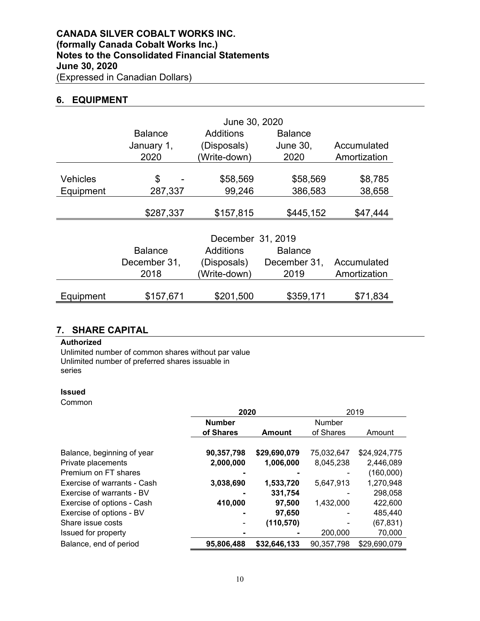## **6. EQUIPMENT**

|                              | <b>Balance</b><br>January 1,<br>2020   | June 30, 2020<br>Additions<br>(Disposals)<br>(Write-down)            | <b>Balance</b><br><b>June 30,</b><br>2020 | Accumulated<br>Amortization |
|------------------------------|----------------------------------------|----------------------------------------------------------------------|-------------------------------------------|-----------------------------|
| <b>Vehicles</b><br>Equipment | \$<br>287,337                          | \$58,569<br>99,246                                                   | \$58,569<br>386,583                       | \$8,785<br>38,658           |
|                              | \$287,337                              | \$157,815                                                            | \$445,152                                 | \$47,444                    |
|                              | <b>Balance</b><br>December 31,<br>2018 | December 31, 2019<br><b>Additions</b><br>(Disposals)<br>(Write-down) | <b>Balance</b><br>December 31,<br>2019    | Accumulated<br>Amortization |
| Equipment                    | \$157,671                              | \$201,500                                                            | \$359,171                                 | \$71,834                    |

## **7. SHARE CAPITAL**

### **Authorized**

Unlimited number of common shares without par value Unlimited number of preferred shares issuable in series

#### **Issued**

Common

|                             | 2020          |               | 2019       |              |  |
|-----------------------------|---------------|---------------|------------|--------------|--|
|                             | <b>Number</b> |               | Number     |              |  |
|                             | of Shares     | <b>Amount</b> | of Shares  | Amount       |  |
|                             |               |               |            |              |  |
| Balance, beginning of year  | 90,357,798    | \$29,690,079  | 75,032,647 | \$24,924,775 |  |
| Private placements          | 2,000,000     | 1,006,000     | 8,045,238  | 2,446,089    |  |
| Premium on FT shares        |               |               |            | (160,000)    |  |
| Exercise of warrants - Cash | 3,038,690     | 1,533,720     | 5,647,913  | 1,270,948    |  |
| Exercise of warrants - BV   |               | 331,754       |            | 298,058      |  |
| Exercise of options - Cash  | 410,000       | 97,500        | 1,432,000  | 422,600      |  |
| Exercise of options - BV    |               | 97,650        |            | 485.440      |  |
| Share issue costs           |               | (110, 570)    |            | (67, 831)    |  |
| Issued for property         |               |               | 200,000    | 70,000       |  |
| Balance, end of period      | 95,806,488    | \$32,646,133  | 90,357,798 | \$29,690,079 |  |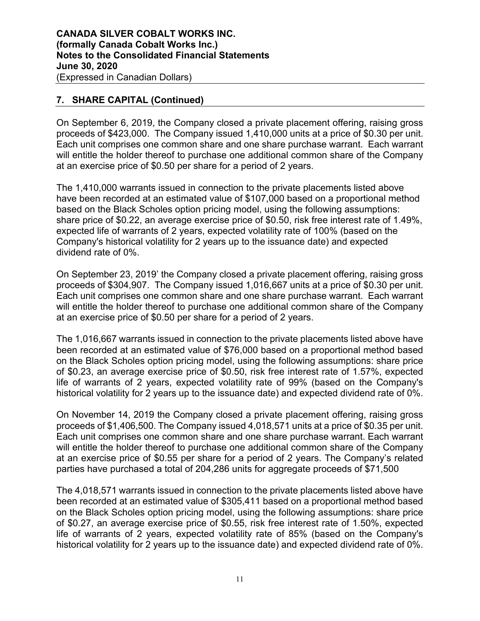# **7. SHARE CAPITAL (Continued)**

On September 6, 2019, the Company closed a private placement offering, raising gross proceeds of \$423,000. The Company issued 1,410,000 units at a price of \$0.30 per unit. Each unit comprises one common share and one share purchase warrant. Each warrant will entitle the holder thereof to purchase one additional common share of the Company at an exercise price of \$0.50 per share for a period of 2 years.

The 1,410,000 warrants issued in connection to the private placements listed above have been recorded at an estimated value of \$107,000 based on a proportional method based on the Black Scholes option pricing model, using the following assumptions: share price of \$0.22, an average exercise price of \$0.50, risk free interest rate of 1.49%, expected life of warrants of 2 years, expected volatility rate of 100% (based on the Company's historical volatility for 2 years up to the issuance date) and expected dividend rate of 0%.

On September 23, 2019' the Company closed a private placement offering, raising gross proceeds of \$304,907. The Company issued 1,016,667 units at a price of \$0.30 per unit. Each unit comprises one common share and one share purchase warrant. Each warrant will entitle the holder thereof to purchase one additional common share of the Company at an exercise price of \$0.50 per share for a period of 2 years.

The 1,016,667 warrants issued in connection to the private placements listed above have been recorded at an estimated value of \$76,000 based on a proportional method based on the Black Scholes option pricing model, using the following assumptions: share price of \$0.23, an average exercise price of \$0.50, risk free interest rate of 1.57%, expected life of warrants of 2 years, expected volatility rate of 99% (based on the Company's historical volatility for 2 years up to the issuance date) and expected dividend rate of 0%.

On November 14, 2019 the Company closed a private placement offering, raising gross proceeds of \$1,406,500. The Company issued 4,018,571 units at a price of \$0.35 per unit. Each unit comprises one common share and one share purchase warrant. Each warrant will entitle the holder thereof to purchase one additional common share of the Company at an exercise price of \$0.55 per share for a period of 2 years. The Company's related parties have purchased a total of 204,286 units for aggregate proceeds of \$71,500

The 4,018,571 warrants issued in connection to the private placements listed above have been recorded at an estimated value of \$305,411 based on a proportional method based on the Black Scholes option pricing model, using the following assumptions: share price of \$0.27, an average exercise price of \$0.55, risk free interest rate of 1.50%, expected life of warrants of 2 years, expected volatility rate of 85% (based on the Company's historical volatility for 2 years up to the issuance date) and expected dividend rate of 0%.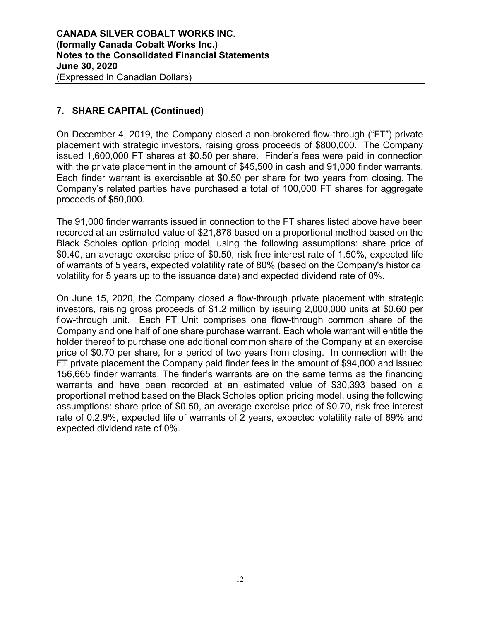# **7. SHARE CAPITAL (Continued)**

On December 4, 2019, the Company closed a non-brokered flow-through ("FT") private placement with strategic investors, raising gross proceeds of \$800,000. The Company issued 1,600,000 FT shares at \$0.50 per share. Finder's fees were paid in connection with the private placement in the amount of \$45,500 in cash and 91,000 finder warrants. Each finder warrant is exercisable at \$0.50 per share for two years from closing. The Company's related parties have purchased a total of 100,000 FT shares for aggregate proceeds of \$50,000.

The 91,000 finder warrants issued in connection to the FT shares listed above have been recorded at an estimated value of \$21,878 based on a proportional method based on the Black Scholes option pricing model, using the following assumptions: share price of \$0.40, an average exercise price of \$0.50, risk free interest rate of 1.50%, expected life of warrants of 5 years, expected volatility rate of 80% (based on the Company's historical volatility for 5 years up to the issuance date) and expected dividend rate of 0%.

On June 15, 2020, the Company closed a flow-through private placement with strategic investors, raising gross proceeds of \$1.2 million by issuing 2,000,000 units at \$0.60 per flow-through unit. Each FT Unit comprises one flow-through common share of the Company and one half of one share purchase warrant. Each whole warrant will entitle the holder thereof to purchase one additional common share of the Company at an exercise price of \$0.70 per share, for a period of two years from closing. In connection with the FT private placement the Company paid finder fees in the amount of \$94,000 and issued 156,665 finder warrants. The finder's warrants are on the same terms as the financing warrants and have been recorded at an estimated value of \$30,393 based on a proportional method based on the Black Scholes option pricing model, using the following assumptions: share price of \$0.50, an average exercise price of \$0.70, risk free interest rate of 0.2.9%, expected life of warrants of 2 years, expected volatility rate of 89% and expected dividend rate of 0%.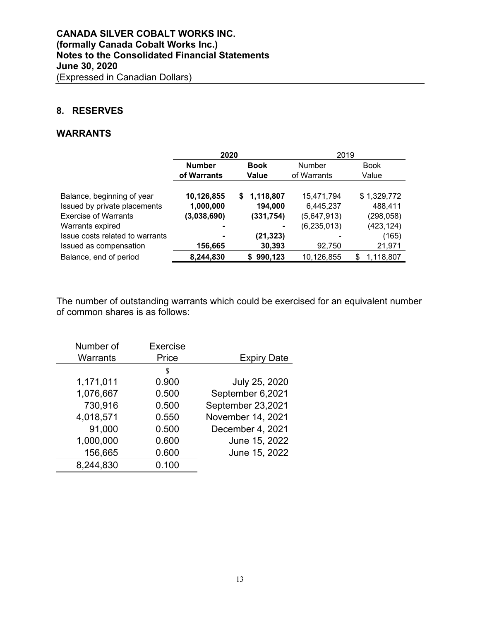# **8. RESERVES**

### **WARRANTS**

|                                 | 2020                         |                 | 2019          |                 |  |
|---------------------------------|------------------------------|-----------------|---------------|-----------------|--|
|                                 | <b>Number</b><br><b>Book</b> |                 | Number        | <b>Book</b>     |  |
|                                 | of Warrants                  | Value           | of Warrants   | Value           |  |
|                                 |                              |                 |               |                 |  |
| Balance, beginning of year      | 10,126,855                   | 1,118,807<br>S. | 15,471,794    | \$1,329,772     |  |
| Issued by private placements    | 1,000,000                    | 194,000         | 6,445,237     | 488,411         |  |
| <b>Exercise of Warrants</b>     | (3,038,690)                  | (331, 754)      | (5,647,913)   | (298, 058)      |  |
| Warrants expired                | -                            | ٠               | (6, 235, 013) | (423, 124)      |  |
| Issue costs related to warrants |                              | (21,323)        |               | (165)           |  |
| Issued as compensation          | 156,665                      | 30,393          | 92,750        | 21,971          |  |
| Balance, end of period          | 8,244,830                    | 990,123<br>S.   | 10,126,855    | 1,118,807<br>\$ |  |

The number of outstanding warrants which could be exercised for an equivalent number of common shares is as follows:

| Number of | Exercise |                    |
|-----------|----------|--------------------|
| Warrants  | Price    | <b>Expiry Date</b> |
|           | S        |                    |
| 1,171,011 | 0.900    | July 25, 2020      |
| 1,076,667 | 0.500    | September 6,2021   |
| 730,916   | 0.500    | September 23,2021  |
| 4,018,571 | 0.550    | November 14, 2021  |
| 91,000    | 0.500    | December 4, 2021   |
| 1,000,000 | 0.600    | June 15, 2022      |
| 156,665   | 0.600    | June 15, 2022      |
| 8,244,830 | 0.100    |                    |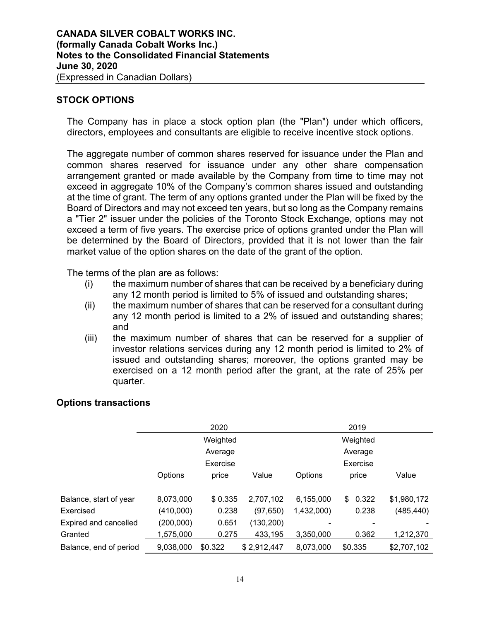# **STOCK OPTIONS**

The Company has in place a stock option plan (the "Plan") under which officers, directors, employees and consultants are eligible to receive incentive stock options.

The aggregate number of common shares reserved for issuance under the Plan and common shares reserved for issuance under any other share compensation arrangement granted or made available by the Company from time to time may not exceed in aggregate 10% of the Company's common shares issued and outstanding at the time of grant. The term of any options granted under the Plan will be fixed by the Board of Directors and may not exceed ten years, but so long as the Company remains a "Tier 2" issuer under the policies of the Toronto Stock Exchange, options may not exceed a term of five years. The exercise price of options granted under the Plan will be determined by the Board of Directors, provided that it is not lower than the fair market value of the option shares on the date of the grant of the option.

The terms of the plan are as follows:

- (i) the maximum number of shares that can be received by a beneficiary during any 12 month period is limited to 5% of issued and outstanding shares;
- (ii) the maximum number of shares that can be reserved for a consultant during any 12 month period is limited to a 2% of issued and outstanding shares; and
- (iii) the maximum number of shares that can be reserved for a supplier of investor relations services during any 12 month period is limited to 2% of issued and outstanding shares; moreover, the options granted may be exercised on a 12 month period after the grant, at the rate of 25% per quarter.

# **Options transactions**

|                        | 2020      |          |             | 2019       |             |             |  |
|------------------------|-----------|----------|-------------|------------|-------------|-------------|--|
|                        |           | Weighted |             | Weighted   |             |             |  |
|                        | Average   |          |             |            | Average     |             |  |
|                        |           | Exercise |             |            | Exercise    |             |  |
|                        | Options   | price    | Value       | Options    | price       | Value       |  |
|                        |           |          |             |            |             |             |  |
| Balance, start of year | 8,073,000 | \$0.335  | 2,707,102   | 6,155,000  | 0.322<br>\$ | \$1,980,172 |  |
| Exercised              | (410,000) | 0.238    | (97, 650)   | 1,432,000) | 0.238       | (485, 440)  |  |
| Expired and cancelled  | (200,000) | 0.651    | (130, 200)  |            |             |             |  |
| Granted                | 1,575,000 | 0.275    | 433,195     | 3,350,000  | 0.362       | 1,212,370   |  |
| Balance, end of period | 9,038,000 | \$0.322  | \$2,912,447 | 8,073,000  | \$0.335     | \$2,707,102 |  |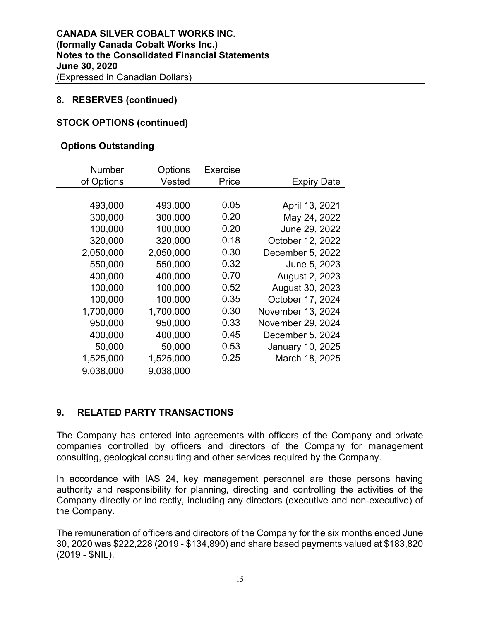## **8. RESERVES (continued)**

## **STOCK OPTIONS (continued)**

### **Options Outstanding**

| <b>Number</b> | Options   | Exercise |                    |
|---------------|-----------|----------|--------------------|
| of Options    | Vested    | Price    | <b>Expiry Date</b> |
|               |           |          |                    |
| 493,000       | 493,000   | 0.05     | April 13, 2021     |
| 300,000       | 300,000   | 0.20     | May 24, 2022       |
| 100,000       | 100,000   | 0.20     | June 29, 2022      |
| 320,000       | 320,000   | 0.18     | October 12, 2022   |
| 2,050,000     | 2,050,000 | 0.30     | December 5, 2022   |
| 550,000       | 550,000   | 0.32     | June 5, 2023       |
| 400,000       | 400,000   | 0.70     | August 2, 2023     |
| 100,000       | 100,000   | 0.52     | August 30, 2023    |
| 100,000       | 100,000   | 0.35     | October 17, 2024   |
| 1,700,000     | 1,700,000 | 0.30     | November 13, 2024  |
| 950,000       | 950,000   | 0.33     | November 29, 2024  |
| 400,000       | 400,000   | 0.45     | December 5, 2024   |
| 50,000        | 50,000    | 0.53     | January 10, 2025   |
| 1,525,000     | 1,525,000 | 0.25     | March 18, 2025     |
| 9,038,000     | 9,038,000 |          |                    |

# **9. RELATED PARTY TRANSACTIONS**

The Company has entered into agreements with officers of the Company and private companies controlled by officers and directors of the Company for management consulting, geological consulting and other services required by the Company.

In accordance with IAS 24, key management personnel are those persons having authority and responsibility for planning, directing and controlling the activities of the Company directly or indirectly, including any directors (executive and non-executive) of the Company.

The remuneration of officers and directors of the Company for the six months ended June 30, 2020 was \$222,228 (2019 - \$134,890) and share based payments valued at \$183,820 (2019 - \$NIL).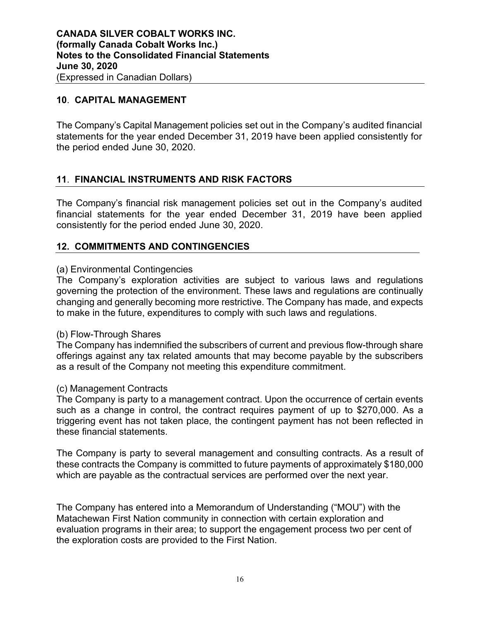# **10**. **CAPITAL MANAGEMENT**

The Company's Capital Management policies set out in the Company's audited financial statements for the year ended December 31, 2019 have been applied consistently for the period ended June 30, 2020.

# **11**. **FINANCIAL INSTRUMENTS AND RISK FACTORS**

The Company's financial risk management policies set out in the Company's audited financial statements for the year ended December 31, 2019 have been applied consistently for the period ended June 30, 2020.

# **12. COMMITMENTS AND CONTINGENCIES**

## (a) Environmental Contingencies

The Company's exploration activities are subject to various laws and regulations governing the protection of the environment. These laws and regulations are continually changing and generally becoming more restrictive. The Company has made, and expects to make in the future, expenditures to comply with such laws and regulations.

### (b) Flow-Through Shares

The Company has indemnified the subscribers of current and previous flow-through share offerings against any tax related amounts that may become payable by the subscribers as a result of the Company not meeting this expenditure commitment.

### (c) Management Contracts

The Company is party to a management contract. Upon the occurrence of certain events such as a change in control, the contract requires payment of up to \$270,000. As a triggering event has not taken place, the contingent payment has not been reflected in these financial statements.

The Company is party to several management and consulting contracts. As a result of these contracts the Company is committed to future payments of approximately \$180,000 which are payable as the contractual services are performed over the next year.

The Company has entered into a Memorandum of Understanding ("MOU") with the Matachewan First Nation community in connection with certain exploration and evaluation programs in their area; to support the engagement process two per cent of the exploration costs are provided to the First Nation.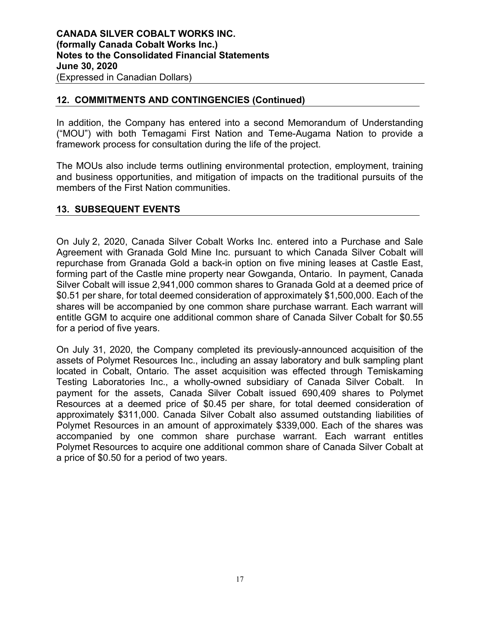# **12. COMMITMENTS AND CONTINGENCIES (Continued)**

In addition, the Company has entered into a second Memorandum of Understanding ("MOU") with both Temagami First Nation and Teme-Augama Nation to provide a framework process for consultation during the life of the project.

The MOUs also include terms outlining environmental protection, employment, training and business opportunities, and mitigation of impacts on the traditional pursuits of the members of the First Nation communities.

# **13. SUBSEQUENT EVENTS**

On July 2, 2020, Canada Silver Cobalt Works Inc. entered into a Purchase and Sale Agreement with Granada Gold Mine Inc. pursuant to which Canada Silver Cobalt will repurchase from Granada Gold a back-in option on five mining leases at Castle East, forming part of the Castle mine property near Gowganda, Ontario. In payment, Canada Silver Cobalt will issue 2,941,000 common shares to Granada Gold at a deemed price of \$0.51 per share, for total deemed consideration of approximately \$1,500,000. Each of the shares will be accompanied by one common share purchase warrant. Each warrant will entitle GGM to acquire one additional common share of Canada Silver Cobalt for \$0.55 for a period of five years.

On July 31, 2020, the Company completed its previously-announced acquisition of the assets of Polymet Resources Inc., including an assay laboratory and bulk sampling plant located in Cobalt, Ontario. The asset acquisition was effected through Temiskaming Testing Laboratories Inc., a wholly-owned subsidiary of Canada Silver Cobalt. In payment for the assets, Canada Silver Cobalt issued 690,409 shares to Polymet Resources at a deemed price of \$0.45 per share, for total deemed consideration of approximately \$311,000. Canada Silver Cobalt also assumed outstanding liabilities of Polymet Resources in an amount of approximately \$339,000. Each of the shares was accompanied by one common share purchase warrant. Each warrant entitles Polymet Resources to acquire one additional common share of Canada Silver Cobalt at a price of \$0.50 for a period of two years.